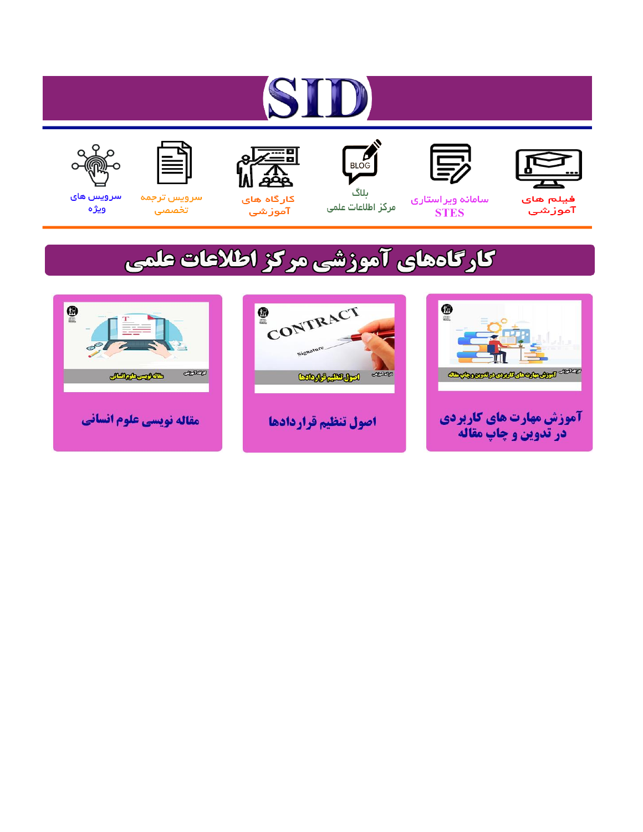# ST











ىلاگ



مرکز اطلاعات علمی

 $\frac{1}{\sqrt{\frac{1}{100}}}$ 

Cologie Legislation

کارگاه های آموزشي

空

ققق

 $\begin{matrix} \textcircled{\footnotesize{A}}\\ \textcircled{\footnotesize{B}} \end{matrix}$ 

سرويس ترجمه تخصصى



سرویس های ويژه

كارگاههای آموزشی مركز اطلاعات علمی

CONTRACT

اصول تنظيم قراردادها



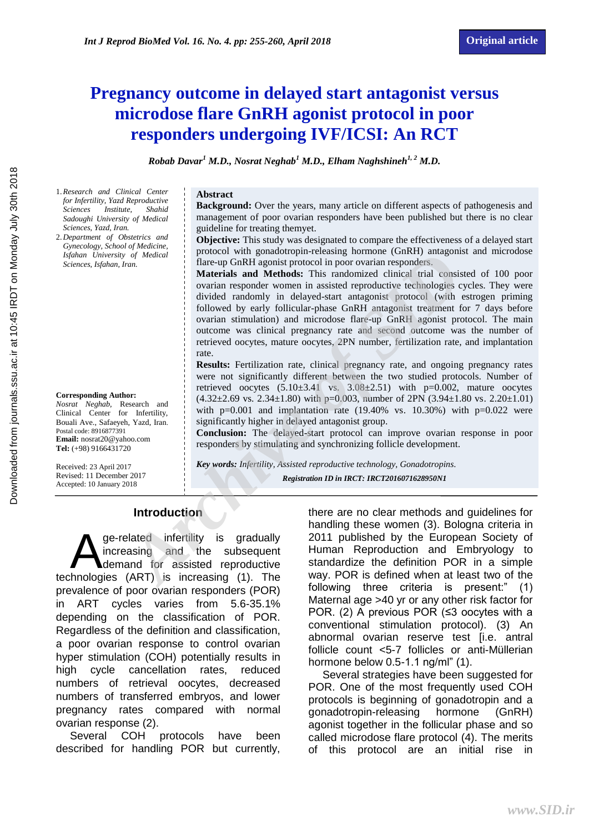## **Pregnancy outcome in delayed start antagonist versus microdose flare GnRH agonist protocol in poor responders undergoing IVF/ICSI: An RCT**

*Robab Davar<sup>1</sup> M.D., Nosrat Neghab<sup>1</sup> M.D., Elham Naghshineh1, 2 M.D.*

- 1.*Research and Clinical Center for Infertility, Yazd Reproductive Sciences Institute, Shahid Sadoughi University of Medical Sciences, Yazd, Iran.*
- 2.*Department of Obstetrics and Gynecology, School of Medicine, Isfahan University of Medical Sciences, Isfahan, Iran.*

#### **Corresponding Author:**

*Nosrat Neghab,* Research and Clinical Center for Infertility, Bouali Ave., Safaeyeh, Yazd, Iran. Postal code: 8916877391 **Email:** nosrat20@yahoo.com **Tel:** (+98) 9166431720

Received: 23 April 2017 Revised: 11 December 2017 Accepted: 10 January 2018

#### **Abstract**

**Background:** Over the years, many article on different aspects of pathogenesis and management of poor ovarian responders have been published but there is no clear guideline for treating themyet.

**Objective:** This study was designated to compare the effectiveness of a delayed start protocol with gonadotropin-releasing hormone (GnRH) antagonist and microdose flare-up GnRH agonist protocol in poor ovarian responders.

**Materials and Methods:** This randomized clinical trial consisted of 100 poor ovarian responder women in assisted reproductive technologies cycles. They were divided randomly in delayed-start antagonist protocol (with estrogen priming followed by early follicular-phase GnRH antagonist treatment for 7 days before ovarian stimulation) and microdose flare-up GnRH agonist protocol. The main outcome was clinical pregnancy rate and second outcome was the number of retrieved oocytes, mature oocytes, 2PN number, fertilization rate, and implantation rate. *A Medical*<br>
Into the subsequent internalisation in the state of the state of the state and **Methods:** This randomized clinical consisted internal consisted the original original consisted the constrain responder women i

**Results:** Fertilization rate, clinical pregnancy rate, and ongoing pregnancy rates were not significantly different between the two studied protocols. Number of retrieved oocytes  $(5.10\pm3.41 \text{ vs. } 3.08\pm2.51)$  with p=0.002, mature oocytes  $(4.32\pm2.69 \text{ vs. } 2.34\pm1.80)$  with p=0.003, number of 2PN  $(3.94\pm1.80 \text{ vs. } 2.20\pm1.01)$ with  $p=0.001$  and implantation rate (19.40% vs. 10.30%) with  $p=0.022$  were significantly higher in delayed antagonist group.

**Conclusion:** The delayed-start protocol can improve ovarian response in poor responders by stimulating and synchronizing follicle development.

*Key words: Infertility, Assisted reproductive technology, Gonadotropins. Registration ID in IRCT: IRCT2016071628950N1*

#### **Introduction**

ge-related infertility is gradually increasing and the subsequent demand for assisted reproductive ge-related infertility is gradually<br>increasing and the subsequent<br>technologies (ART) is increasing (1). The prevalence of poor ovarian responders (POR) in ART cycles varies from 5.6-35.1% depending on the classification of POR. Regardless of the definition and classification, a poor ovarian response to control ovarian hyper stimulation (COH) potentially results in high cycle cancellation rates, reduced numbers of retrieval oocytes, decreased numbers of transferred embryos, and lower pregnancy rates compared with normal ovarian response (2).

Several COH protocols have been described for handling POR but currently, there are no clear methods and guidelines for handling these women (3). Bologna criteria in 2011 published by the European Society of Human Reproduction and Embryology to standardize the definition POR in a simple way. POR is defined when at least two of the following three criteria is present:" (1) Maternal age >40 yr or any other risk factor for POR. (2) A previous POR (≤3 oocytes with a conventional stimulation protocol). (3) An abnormal ovarian reserve test [i.e. antral follicle count <5-7 follicles or anti-Müllerian hormone below 0.5-1.1 ng/ml" (1).

Several strategies have been suggested for POR. One of the most frequently used COH protocols is beginning of gonadotropin and a gonadotropin-releasing hormone (GnRH) agonist together in the follicular phase and so called microdose flare protocol (4). The merits of this protocol are an initial rise in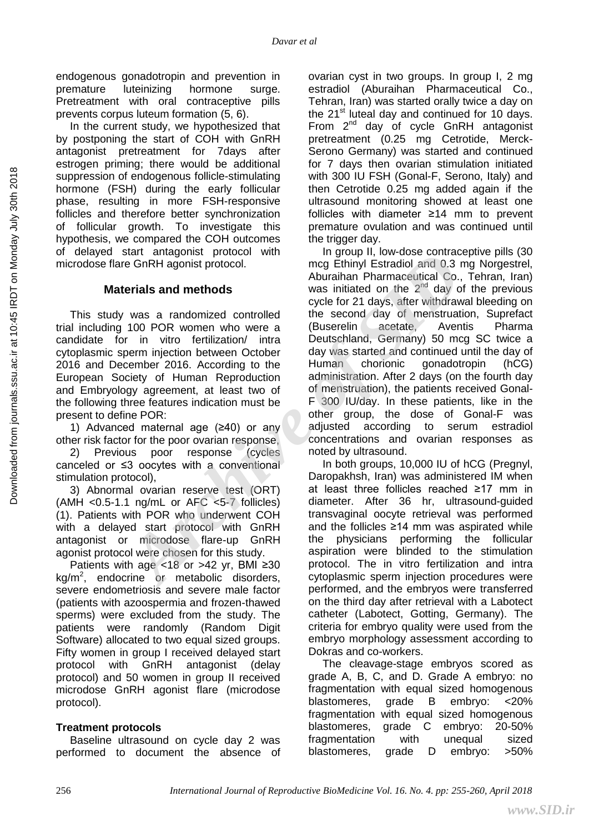endogenous gonadotropin and prevention in premature luteinizing hormone surge. Pretreatment with oral contraceptive pills prevents corpus luteum formation (5, 6).

In the current study, we hypothesized that by postponing the start of COH with GnRH antagonist pretreatment for 7days after estrogen priming; there would be additional suppression of endogenous follicle-stimulating hormone (FSH) during the early follicular phase, resulting in more FSH-responsive follicles and therefore better synchronization of follicular growth. To investigate this hypothesis, we compared the COH outcomes of delayed start antagonist protocol with microdose flare GnRH agonist protocol.

## **Materials and methods**

This study was a randomized controlled trial including 100 POR women who were a candidate for in vitro fertilization/ intra cytoplasmic sperm injection between October 2016 and December 2016. According to the European Society of Human Reproduction and Embryology agreement, at least two of the following three features indication must be present to define POR:

1) Advanced maternal age (≥40) or any other risk factor for the poor ovarian response,

2) Previous poor response (cycles canceled or ≤3 oocytes with a conventional stimulation protocol),

3) Abnormal ovarian reserve test (ORT) (AMH <0.5-1.1 ng/mL or AFC <5-7 follicles) (1). Patients with POR who underwent COH with a delayed start protocol with GnRH antagonist or microdose flare-up GnRH agonist protocol were chosen for this study.

Patients with age <18 or >42 yr, BMI ≥30  $kg/m<sup>2</sup>$ , endocrine or metabolic disorders, severe endometriosis and severe male factor (patients with azoospermia and frozen-thawed sperms) were excluded from the study. The patients were randomly (Random Digit Software) allocated to two equal sized groups. Fifty women in group I received delayed start protocol with GnRH antagonist (delay protocol) and 50 women in group II received microdose GnRH agonist flare (microdose protocol).

#### **Treatment protocols**

Baseline ultrasound on cycle day 2 was performed to document the absence of ovarian cyst in two groups. In group I, 2 mg estradiol (Aburaihan Pharmaceutical Co., Tehran, Iran) was started orally twice a day on the  $21<sup>st</sup>$  luteal day and continued for 10 days. From  $2^{nd}$  day of cycle GnRH antagonist pretreatment (0.25 mg Cetrotide, Merck-Serono Germany) was started and continued for 7 days then ovarian stimulation initiated with 300 IU FSH (Gonal-F, Serono, Italy) and then Cetrotide 0.25 mg added again if the ultrasound monitoring showed at least one follicles with diameter ≥14 mm to prevent premature ovulation and was continued until the trigger day.

In group II, low-dose contraceptive pills (30 mcg Ethinyl Estradiol and 0.3 mg Norgestrel, Aburaihan Pharmaceutical Co., Tehran, Iran) was initiated on the  $2^{nd}$  day of the previous cycle for 21 days, after withdrawal bleeding on the second day of menstruation, Suprefact (Buserelin acetate, Aventis Pharma Deutschland, Germany) 50 mcg SC twice a day was started and continued until the day of Human chorionic gonadotropin (hCG) administration. After 2 days (on the fourth day of menstruation), the patients received Gonal-F 300 IU/day. In these patients, like in the other group, the dose of Gonal-F was adjusted according to serum estradiol concentrations and ovarian responses as noted by ultrasound. Archive of High Control and Theorem in the property in the property in the contract and **Archive Control and D.3** mag Ethiny I Startial and the 2<sup>nd</sup> day of the 2<sup>nd</sup> day of the second day of menstruation, was a randomize

In both groups, 10,000 IU of hCG (Pregnyl, Daropakhsh, Iran) was administered IM when at least three follicles reached ≥17 mm in diameter. After 36 hr, ultrasound-guided transvaginal oocyte retrieval was performed and the follicles ≥14 mm was aspirated while the physicians performing the follicular aspiration were blinded to the stimulation protocol. The in vitro fertilization and intra cytoplasmic sperm injection procedures were performed, and the embryos were transferred on the third day after retrieval with a Labotect catheter (Labotect, Gotting, Germany). The criteria for embryo quality were used from the embryo morphology assessment according to Dokras and co-workers.

The cleavage-stage embryos scored as grade A, B, C, and D. Grade A embryo: no fragmentation with equal sized homogenous blastomeres, grade B embryo: <20% fragmentation with equal sized homogenous blastomeres, grade C embryo: 20-50% fragmentation with unequal sized blastomeres, grade D embryo: >50%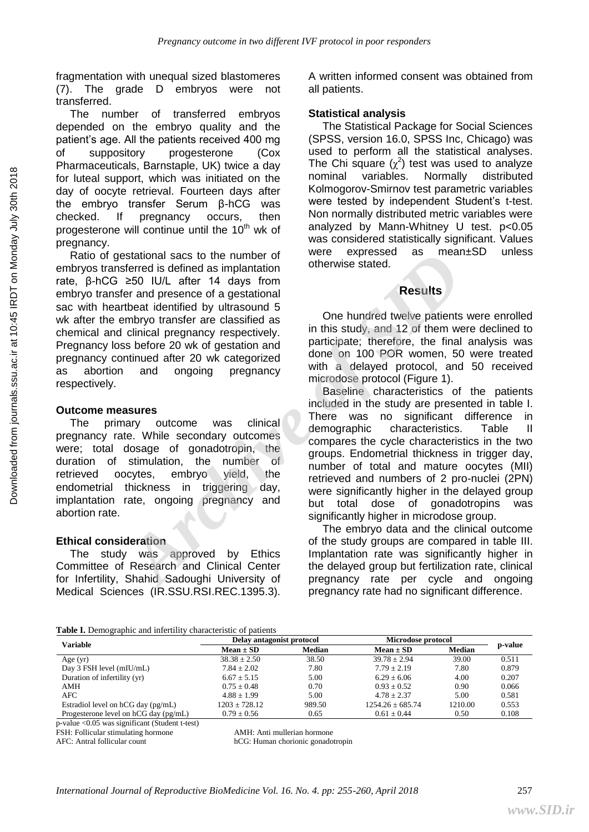fragmentation with unequal sized blastomeres (7). The grade D embryos were not transferred.

The number of transferred embryos depended on the embryo quality and the patient's age. All the patients received 400 mg of suppository progesterone (Cox Pharmaceuticals, Barnstaple, UK) twice a day for luteal support, which was initiated on the day of oocyte retrieval. Fourteen days after the embryo transfer Serum β-hCG was checked. If pregnancy occurs, then progesterone will continue until the 10<sup>th</sup> wk of pregnancy.

Ratio of gestational sacs to the number of embryos transferred is defined as implantation rate, β-hCG ≥50 IU/L after 14 days from embryo transfer and presence of a gestational sac with heartbeat identified by ultrasound 5 wk after the embryo transfer are classified as chemical and clinical pregnancy respectively. Pregnancy loss before 20 wk of gestation and pregnancy continued after 20 wk categorized as abortion and ongoing pregnancy respectively.

#### **Outcome measures**

The primary outcome was clinical pregnancy rate. While secondary outcomes were; total dosage of gonadotropin, the duration of stimulation, the number of retrieved oocytes, embryo yield, the endometrial thickness in triggering day, implantation rate, ongoing pregnancy and abortion rate.

#### **Ethical consideration**

The study was approved by Ethics Committee of Research and Clinical Center for Infertility, Shahid Sadoughi University of Medical Sciences (IR.SSU.RSI.REC.1395.3). A written informed consent was obtained from all patients.

#### **Statistical analysis**

The Statistical Package for Social Sciences (SPSS, version 16.0, SPSS Inc, Chicago) was used to perform all the statistical analyses. The Chi square  $(\chi^2)$  test was used to analyze nominal variables. Normally distributed Kolmogorov-Smirnov test parametric variables were tested by independent Student's t-test. Non normally distributed metric variables were analyzed by Mann-Whitney U test. p<0.05 was considered statistically significant. Values were expressed as mean±SD unless otherwise stated.

## **Results**

One hundred twelve patients were enrolled in this study, and 12 of them were declined to participate; therefore, the final analysis was done on 100 POR women, 50 were treated with a delayed protocol, and 50 received microdose protocol (Figure 1).

Baseline characteristics of the patients included in the study are presented in table I. There was no significant difference in demographic characteristics. Table II compares the cycle characteristics in the two groups. Endometrial thickness in trigger day, number of total and mature oocytes (MII) retrieved and numbers of 2 pro-nuclei (2PN) were significantly higher in the delayed group but total dose of gonadotropins was significantly higher in microdose group. Istational sacs to the number of<br> *Archive is the subsequend as in leaniso*<br> *ARCHIVIA* after 14 days from<br> *Archive is the dentified by ultrasound 5*<br> *Archive is dentified by ultrasound 5*<br> *Archive transies* are classif

The embryo data and the clinical outcome of the study groups are compared in table III. Implantation rate was significantly higher in the delayed group but fertilization rate, clinical pregnancy rate per cycle and ongoing pregnancy rate had no significant difference.

#### **Table I.** Demographic and infertility characteristic of patients

| <b>Variable</b>                             | Delay antagonist protocol |               | Microdose protocol   |               |         |
|---------------------------------------------|---------------------------|---------------|----------------------|---------------|---------|
|                                             | $Mean \pm SD$             | <b>Median</b> | $Mean \pm SD$        | <b>Median</b> | p-value |
| Age $(yr)$                                  | $38.38 \pm 2.50$          | 38.50         | $39.78 + 2.94$       | 39.00         | 0.511   |
| Day 3 FSH level (mIU/mL)                    | $7.84 \pm 2.02$           | 7.80          | $7.79 + 2.19$        | 7.80          | 0.879   |
| Duration of infertility (yr)                | $6.67 + 5.15$             | 5.00          | $6.29 + 6.06$        | 4.00          | 0.207   |
| AMH                                         | $0.75 + 0.48$             | 0.70          | $0.93 + 0.52$        | 0.90          | 0.066   |
| AFC                                         | $4.88 + 1.99$             | 5.00          | $4.78 + 2.37$        | 5.00          | 0.581   |
| Estradiol level on $hCG$ day ( $pg/mL$ )    | $1203 \pm 728.12$         | 989.50        | $1254.26 \pm 685.74$ | 1210.00       | 0.553   |
| Progesterone level on $hCG$ day ( $pg/mL$ ) | $0.79 \pm 0.56$           | 0.65          | $0.61 + 0.44$        | 0.50          | 0.108   |

p-value <0.05 was significant (Student t-test)

FSH: Follicular stimulating hormone AMH: Anti mullerian hormone

AFC: Antral follicular count hCG: Human chorionic gonadotropin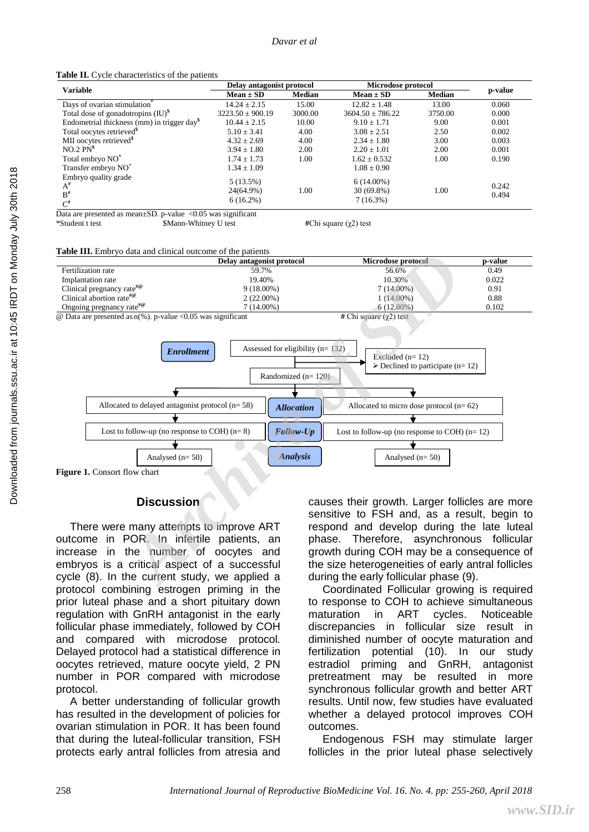**Table II.** Cycle characteristics of the patients

| <b>Variable</b>                                                   | Delay antagonist protocol            |               | Microdose protocol                       |               |                |
|-------------------------------------------------------------------|--------------------------------------|---------------|------------------------------------------|---------------|----------------|
|                                                                   | $Mean \pm SD$                        | <b>Median</b> | $Mean \pm SD$                            | <b>Median</b> | p-value        |
| Days of ovarian stimulation <sup>®</sup>                          | $14.24 \pm 2.15$                     | 15.00         | $12.82 \pm 1.48$                         | 13.00         | 0.060          |
| Total dose of gonadotropins $(IU)^\$$                             | $3223.50 \pm 900.19$                 | 3000.00       | $3604.50 \pm 786.22$                     | 3750.00       | 0.000          |
| Endometrial thickness (mm) in trigger day <sup>§</sup>            | $10.44 \pm 2.15$                     | 10.00         | $9.10 \pm 1.71$                          | 9.00          | 0.001          |
| Total oocytes retrieved <sup>\$</sup>                             | $5.10 \pm 3.41$                      | 4.00          | $3.08 \pm 2.51$                          | 2.50          | 0.002          |
| MII oocytes retrieved <sup>\$</sup>                               | $4.32 \pm 2.69$                      | 4.00          | $2.34 \pm 1.80$                          | 3.00          | 0.003          |
| NO.2 P <sup>3</sup>                                               | $3.94 \pm 1.80$                      | 2.00          | $2.20 \pm 1.01$                          | 2.00          | 0.001          |
| Total embryo NO <sup>*</sup>                                      | $1.74 \pm 1.73$                      | 1.00          | $1.62 \pm 0.532$                         | 1.00          | 0.190          |
| Transfer embryo NO <sup>*</sup>                                   | $1.34 \pm 1.09$                      |               | $1.08 \pm 0.90$                          |               |                |
| Embryo quality grade<br>$A^{\#}$<br>$B^{\#}$<br>$\mathsf{C}^{\#}$ | 5(13.5%)<br>24(64.9%)<br>$6(16.2\%)$ | 1.00          | $6(14.00\%)$<br>$30(69.8\%)$<br>7(16.3%) | 1.00          | 0.242<br>0.494 |

Data are presented as mean $\pm$ SD. p-value <0.05 was significant \*Student t test \$Mann-Whitney U test **#**Chi square (χ2) test

#### **Table III.** Embryo data and clinical outcome of the patients





#### **Discussion**

There were many attempts to improve ART outcome in POR. In infertile patients, an increase in the number of oocytes and embryos is a critical aspect of a successful cycle (8). In the current study, we applied a protocol combining estrogen priming in the prior luteal phase and a short pituitary down regulation with GnRH antagonist in the early follicular phase immediately, followed by COH and compared with microdose protocol. Delayed protocol had a statistical difference in oocytes retrieved, mature oocyte yield, 2 PN number in POR compared with microdose protocol.

A better understanding of follicular growth has resulted in the development of policies for ovarian stimulation in POR. It has been found that during the luteal-follicular transition, FSH protects early antral follicles from atresia and causes their growth. Larger follicles are more sensitive to FSH and, as a result, begin to respond and develop during the late luteal phase. Therefore, asynchronous follicular growth during COH may be a consequence of the size heterogeneities of early antral follicles during the early follicular phase (9).

Coordinated Follicular growing is required to response to COH to achieve simultaneous maturation in ART cycles. Noticeable discrepancies in follicular size result in diminished number of oocyte maturation and fertilization potential (10). In our study estradiol priming and GnRH, antagonist pretreatment may be resulted in more synchronous follicular growth and better ART results. Until now, few studies have evaluated whether a delayed protocol improves COH outcomes.

Endogenous FSH may stimulate larger follicles in the prior luteal phase selectively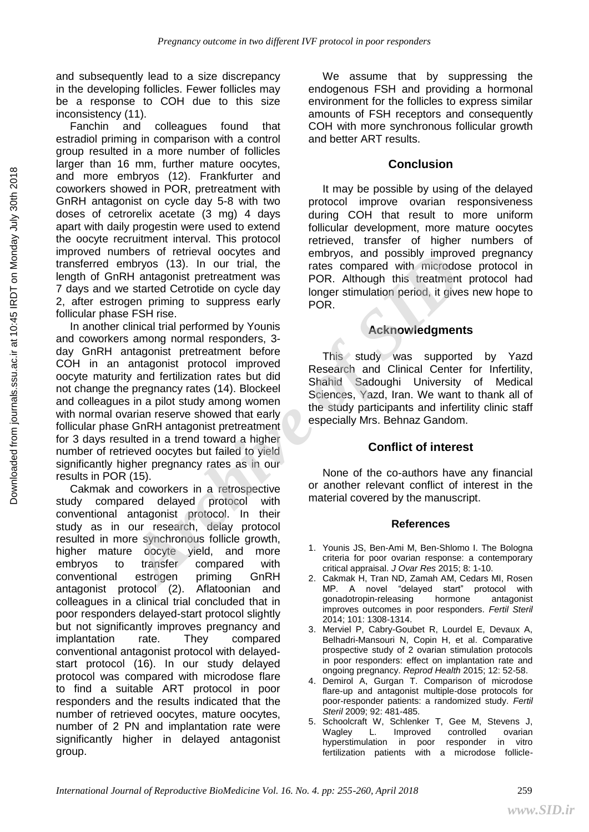and subsequently lead to a size discrepancy in the developing follicles. Fewer follicles may be a response to COH due to this size inconsistency (11).

Fanchin and colleagues found that estradiol priming in comparison with a control group resulted in a more number of follicles larger than 16 mm, further mature oocytes, and more embryos (12). Frankfurter and coworkers showed in POR, pretreatment with GnRH antagonist on cycle day 5-8 with two doses of cetrorelix acetate (3 mg) 4 days apart with daily progestin were used to extend the oocyte recruitment interval. This protocol improved numbers of retrieval oocytes and transferred embryos (13). In our trial, the length of GnRH antagonist pretreatment was 7 days and we started Cetrotide on cycle day 2, after estrogen priming to suppress early follicular phase FSH rise.

In another clinical trial performed by Younis and coworkers among normal responders, 3 day GnRH antagonist pretreatment before COH in an antagonist protocol improved oocyte maturity and fertilization rates but did not change the pregnancy rates (14). Blockeel and colleagues in a pilot study among women with normal ovarian reserve showed that early follicular phase GnRH antagonist pretreatment for 3 days resulted in a trend toward a higher number of retrieved oocytes but failed to yield significantly higher pregnancy rates as in our results in POR (15). The state of the twenting to the compared with<br>
mbryos (13). In our trial, the rates compared with microdose<br>
RH antagonist pretreatment was<br>
POR. Although this it reatment presented Gertoide on cycle day<br>
gen priming to s

Cakmak and coworkers in a retrospective study compared delayed protocol with conventional antagonist protocol. In their study as in our research, delay protocol resulted in more synchronous follicle growth, higher mature oocyte yield, and more embryos to transfer compared with conventional estrogen priming GnRH antagonist protocol (2). Aflatoonian and colleagues in a clinical trial concluded that in poor responders delayed-start protocol slightly but not significantly improves pregnancy and implantation rate. They compared conventional antagonist protocol with delayedstart protocol (16). In our study delayed protocol was compared with microdose flare to find a suitable ART protocol in poor responders and the results indicated that the number of retrieved oocytes, mature oocytes, number of 2 PN and implantation rate were significantly higher in delayed antagonist group.

We assume that by suppressing the endogenous FSH and providing a hormonal environment for the follicles to express similar amounts of FSH receptors and consequently COH with more synchronous follicular growth and better ART results.

## **Conclusion**

It may be possible by using of the delayed protocol improve ovarian responsiveness during COH that result to more uniform follicular development, more mature oocytes retrieved, transfer of higher numbers of embryos, and possibly improved pregnancy rates compared with microdose protocol in POR. Although this treatment protocol had longer stimulation period, it gives new hope to POR.

## **Acknowledgments**

This study was supported by Yazd Research and Clinical Center for Infertility, Shahid Sadoughi University of Medical Sciences, Yazd, Iran. We want to thank all of the study participants and infertility clinic staff especially Mrs. Behnaz Gandom.

## **Conflict of interest**

None of the co-authors have any financial or another relevant conflict of interest in the material covered by the manuscript.

#### **References**

- 1. Younis JS, Ben-Ami M, Ben-Shlomo I. The Bologna criteria for poor ovarian response: a contemporary critical appraisal. *J Ovar Res* 2015; 8: 1-10.
- 2. Cakmak H, Tran ND, Zamah AM, Cedars MI, Rosen MP. A novel "delayed start" protocol with gonadotropin-releasing hormone antagonist improves outcomes in poor responders. *Fertil Steril* 2014; 101: 1308-1314.
- 3. Merviel P, Cabry-Goubet R, Lourdel E, Devaux A, Belhadri-Mansouri N, Copin H, et al. Comparative prospective study of 2 ovarian stimulation protocols in poor responders: effect on implantation rate and ongoing pregnancy. *Reprod Health* 2015; 12: 52-58.
- 4. Demirol A, Gurgan T. Comparison of microdose flare-up and antagonist multiple-dose protocols for poor-responder patients: a randomized study. *Fertil Steril* 2009; 92: 481-485.
- 5. Schoolcraft W, Schlenker T, Gee M, Stevens J, Wagley L. Improved controlled ovarian hyperstimulation in poor responder in vitro fertilization patients with a microdose follicle-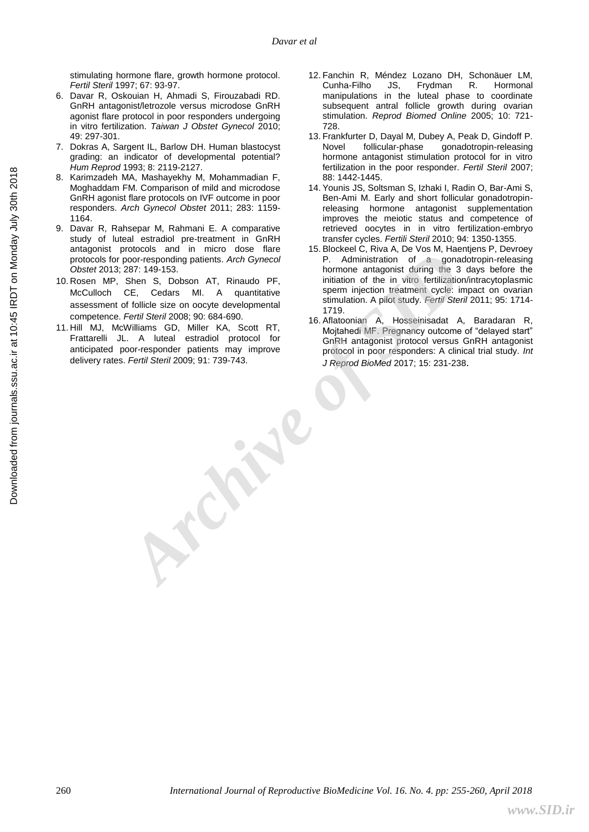stimulating hormone flare, growth hormone protocol. *Fertil Steril* 1997; 67: 93-97.

- 6. Davar R, Oskouian H, Ahmadi S, Firouzabadi RD. GnRH antagonist/letrozole versus microdose GnRH agonist flare protocol in poor responders undergoing in vitro fertilization. *Taiwan J Obstet Gynecol* 2010; 49: 297-301.
- 7. Dokras A, Sargent IL, Barlow DH. Human blastocyst grading: an indicator of developmental potential? *Hum Reprod* 1993; 8: 2119-2127.
- 8. Karimzadeh MA, Mashayekhy M, Mohammadian F, Moghaddam FM. Comparison of mild and microdose GnRH agonist flare protocols on IVF outcome in poor responders. *Arch Gynecol Obstet* 2011; 283: 1159- 1164.
- 9. Davar R, Rahsepar M, Rahmani E. A comparative study of luteal estradiol pre-treatment in GnRH antagonist protocols and in micro dose flare protocols for poor-responding patients. *Arch Gynecol Obstet* 2013; 287: 149-153.
- 10. Rosen MP, Shen S, Dobson AT, Rinaudo PF, McCulloch CE, Cedars MI. A quantitative assessment of follicle size on oocyte developmental competence. *Fertil Steril* 2008; 90: 684-690.
- 11. Hill MJ, McWilliams GD, Miller KA, Scott RT, Frattarelli JL. A luteal estradiol protocol for anticipated poor-responder patients may improve delivery rates. *Fertil Steril* 2009; 91: 739-743.
- 12. Fanchin R, Méndez Lozano DH, Schonäuer LM, Cunha-Filho JS, Frydman R. Hormonal manipulations in the luteal phase to coordinate subsequent antral follicle growth during ovarian stimulation. *Reprod Biomed Online* 2005; 10: 721- 728.
- 13. Frankfurter D, Dayal M, Dubey A, Peak D, Gindoff P. Novel follicular-phase gonadotropin-releasing hormone antagonist stimulation protocol for in vitro fertilization in the poor responder. *Fertil Steril* 2007; 88: 1442-1445.
- 14. Younis JS, Soltsman S, Izhaki I, Radin O, Bar-Ami S, Ben-Ami M. Early and short follicular gonadotropinreleasing hormone antagonist supplementation improves the meiotic status and competence of retrieved oocytes in in vitro fertilization-embryo transfer cycles. *Fertili Steril* 2010; 94: 1350-1355.
- 15. Blockeel C, Riva A, De Vos M, Haentjens P, Devroey P. Administration of a gonadotropin-releasing hormone antagonist during the 3 days before the initiation of the in vitro fertilization/intracytoplasmic sperm injection treatment cycle: impact on ovarian stimulation. A pilot study. *Fertil Steril* 2011; 95: 1714- 1719. **Archivesity Archive Control Control Control Control Control Control Control Control Control Control Control Control Control Control Control Control Control Control Control Control**
	- 16. Aflatoonian A, Hosseinisadat A, Baradaran R, Mojtahedi MF. Pregnancy outcome of "delayed start" GnRH antagonist protocol versus GnRH antagonist protocol in poor responders: A clinical trial study. *Int J Reprod BioMed* 2017; 15: 231-238.